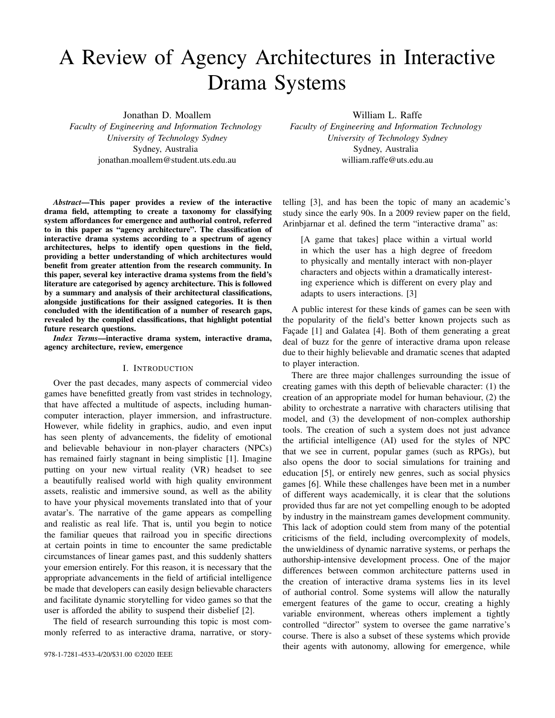# A Review of Agency Architectures in Interactive Drama Systems

Jonathan D. Moallem

*Faculty of Engineering and Information Technology University of Technology Sydney* Sydney, Australia jonathan.moallem@student.uts.edu.au

*Abstract*—This paper provides a review of the interactive drama field, attempting to create a taxonomy for classifying system affordances for emergence and authorial control, referred to in this paper as "agency architecture". The classification of interactive drama systems according to a spectrum of agency architectures, helps to identify open questions in the field, providing a better understanding of which architectures would benefit from greater attention from the research community. In this paper, several key interactive drama systems from the field's literature are categorised by agency architecture. This is followed by a summary and analysis of their architectural classifications, alongside justifications for their assigned categories. It is then concluded with the identification of a number of research gaps, revealed by the compiled classifications, that highlight potential future research questions.

*Index Terms*—interactive drama system, interactive drama, agency architecture, review, emergence

## I. INTRODUCTION

Over the past decades, many aspects of commercial video games have benefitted greatly from vast strides in technology, that have affected a multitude of aspects, including humancomputer interaction, player immersion, and infrastructure. However, while fidelity in graphics, audio, and even input has seen plenty of advancements, the fidelity of emotional and believable behaviour in non-player characters (NPCs) has remained fairly stagnant in being simplistic [1]. Imagine putting on your new virtual reality (VR) headset to see a beautifully realised world with high quality environment assets, realistic and immersive sound, as well as the ability to have your physical movements translated into that of your avatar's. The narrative of the game appears as compelling and realistic as real life. That is, until you begin to notice the familiar queues that railroad you in specific directions at certain points in time to encounter the same predictable circumstances of linear games past, and this suddenly shatters your emersion entirely. For this reason, it is necessary that the appropriate advancements in the field of artificial intelligence be made that developers can easily design believable characters and facilitate dynamic storytelling for video games so that the user is afforded the ability to suspend their disbelief [2].

The field of research surrounding this topic is most commonly referred to as interactive drama, narrative, or storyWilliam L. Raffe

*Faculty of Engineering and Information Technology University of Technology Sydney* Sydney, Australia william.raffe@uts.edu.au

telling [3], and has been the topic of many an academic's study since the early 90s. In a 2009 review paper on the field, Arinbjarnar et al. defined the term "interactive drama" as:

[A game that takes] place within a virtual world in which the user has a high degree of freedom to physically and mentally interact with non-player characters and objects within a dramatically interesting experience which is different on every play and adapts to users interactions. [3]

A public interest for these kinds of games can be seen with the popularity of the field's better known projects such as Façade [1] and Galatea [4]. Both of them generating a great deal of buzz for the genre of interactive drama upon release due to their highly believable and dramatic scenes that adapted to player interaction.

There are three major challenges surrounding the issue of creating games with this depth of believable character: (1) the creation of an appropriate model for human behaviour, (2) the ability to orchestrate a narrative with characters utilising that model, and (3) the development of non-complex authorship tools. The creation of such a system does not just advance the artificial intelligence (AI) used for the styles of NPC that we see in current, popular games (such as RPGs), but also opens the door to social simulations for training and education [5], or entirely new genres, such as social physics games [6]. While these challenges have been met in a number of different ways academically, it is clear that the solutions provided thus far are not yet compelling enough to be adopted by industry in the mainstream games development community. This lack of adoption could stem from many of the potential criticisms of the field, including overcomplexity of models, the unwieldiness of dynamic narrative systems, or perhaps the authorship-intensive development process. One of the major differences between common architecture patterns used in the creation of interactive drama systems lies in its level of authorial control. Some systems will allow the naturally emergent features of the game to occur, creating a highly variable environment, whereas others implement a tightly controlled "director" system to oversee the game narrative's course. There is also a subset of these systems which provide their agents with autonomy, allowing for emergence, while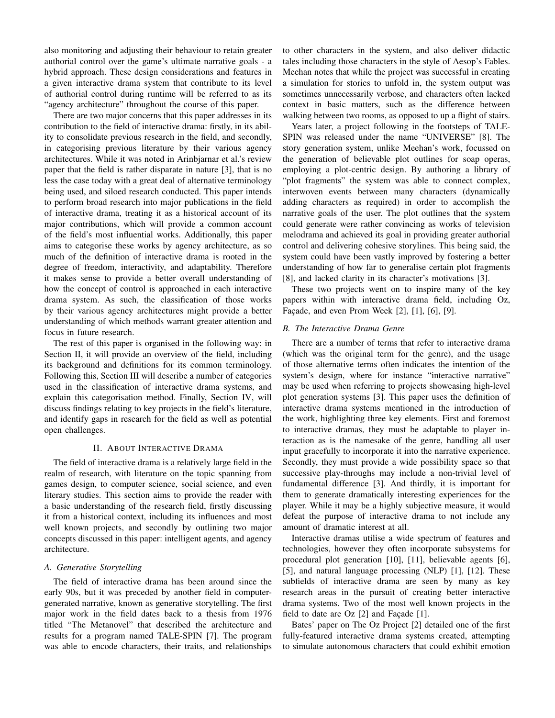also monitoring and adjusting their behaviour to retain greater authorial control over the game's ultimate narrative goals - a hybrid approach. These design considerations and features in a given interactive drama system that contribute to its level of authorial control during runtime will be referred to as its "agency architecture" throughout the course of this paper.

There are two major concerns that this paper addresses in its contribution to the field of interactive drama: firstly, in its ability to consolidate previous research in the field, and secondly, in categorising previous literature by their various agency architectures. While it was noted in Arinbjarnar et al.'s review paper that the field is rather disparate in nature [3], that is no less the case today with a great deal of alternative terminology being used, and siloed research conducted. This paper intends to perform broad research into major publications in the field of interactive drama, treating it as a historical account of its major contributions, which will provide a common account of the field's most influential works. Additionally, this paper aims to categorise these works by agency architecture, as so much of the definition of interactive drama is rooted in the degree of freedom, interactivity, and adaptability. Therefore it makes sense to provide a better overall understanding of how the concept of control is approached in each interactive drama system. As such, the classification of those works by their various agency architectures might provide a better understanding of which methods warrant greater attention and focus in future research.

The rest of this paper is organised in the following way: in Section II, it will provide an overview of the field, including its background and definitions for its common terminology. Following this, Section III will describe a number of categories used in the classification of interactive drama systems, and explain this categorisation method. Finally, Section IV, will discuss findings relating to key projects in the field's literature, and identify gaps in research for the field as well as potential open challenges.

# II. ABOUT INTERACTIVE DRAMA

The field of interactive drama is a relatively large field in the realm of research, with literature on the topic spanning from games design, to computer science, social science, and even literary studies. This section aims to provide the reader with a basic understanding of the research field, firstly discussing it from a historical context, including its influences and most well known projects, and secondly by outlining two major concepts discussed in this paper: intelligent agents, and agency architecture.

# *A. Generative Storytelling*

The field of interactive drama has been around since the early 90s, but it was preceded by another field in computergenerated narrative, known as generative storytelling. The first major work in the field dates back to a thesis from 1976 titled "The Metanovel" that described the architecture and results for a program named TALE-SPIN [7]. The program was able to encode characters, their traits, and relationships to other characters in the system, and also deliver didactic tales including those characters in the style of Aesop's Fables. Meehan notes that while the project was successful in creating a simulation for stories to unfold in, the system output was sometimes unnecessarily verbose, and characters often lacked context in basic matters, such as the difference between walking between two rooms, as opposed to up a flight of stairs.

Years later, a project following in the footsteps of TALE-SPIN was released under the name "UNIVERSE" [8]. The story generation system, unlike Meehan's work, focussed on the generation of believable plot outlines for soap operas, employing a plot-centric design. By authoring a library of "plot fragments" the system was able to connect complex, interwoven events between many characters (dynamically adding characters as required) in order to accomplish the narrative goals of the user. The plot outlines that the system could generate were rather convincing as works of television melodrama and achieved its goal in providing greater authorial control and delivering cohesive storylines. This being said, the system could have been vastly improved by fostering a better understanding of how far to generalise certain plot fragments [8], and lacked clarity in its character's motivations [3].

These two projects went on to inspire many of the key papers within with interactive drama field, including Oz, Facade, and even Prom Week  $[2]$ ,  $[1]$ ,  $[6]$ ,  $[9]$ .

# *B. The Interactive Drama Genre*

There are a number of terms that refer to interactive drama (which was the original term for the genre), and the usage of those alternative terms often indicates the intention of the system's design, where for instance "interactive narrative" may be used when referring to projects showcasing high-level plot generation systems [3]. This paper uses the definition of interactive drama systems mentioned in the introduction of the work, highlighting three key elements. First and foremost to interactive dramas, they must be adaptable to player interaction as is the namesake of the genre, handling all user input gracefully to incorporate it into the narrative experience. Secondly, they must provide a wide possibility space so that successive play-throughs may include a non-trivial level of fundamental difference [3]. And thirdly, it is important for them to generate dramatically interesting experiences for the player. While it may be a highly subjective measure, it would defeat the purpose of interactive drama to not include any amount of dramatic interest at all.

Interactive dramas utilise a wide spectrum of features and technologies, however they often incorporate subsystems for procedural plot generation [10], [11], believable agents [6], [5], and natural language processing (NLP) [1], [12]. These subfields of interactive drama are seen by many as key research areas in the pursuit of creating better interactive drama systems. Two of the most well known projects in the field to date are  $Oz$  [2] and Facade [1].

Bates' paper on The Oz Project [2] detailed one of the first fully-featured interactive drama systems created, attempting to simulate autonomous characters that could exhibit emotion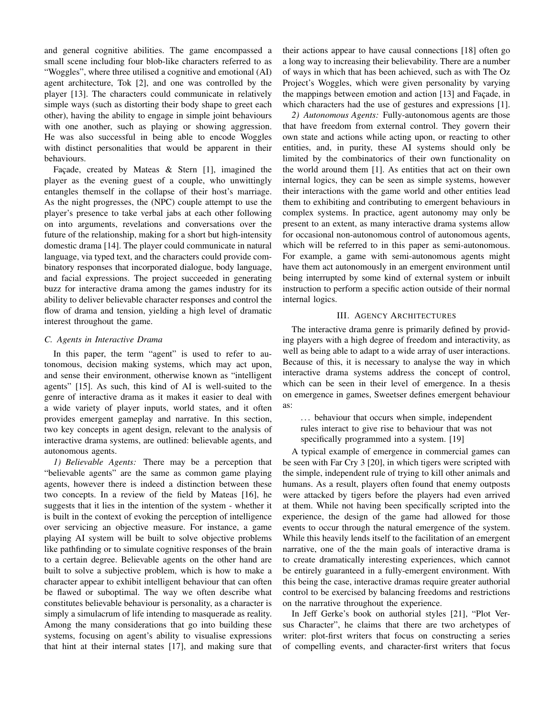and general cognitive abilities. The game encompassed a small scene including four blob-like characters referred to as "Woggles", where three utilised a cognitive and emotional (AI) agent architecture, Tok [2], and one was controlled by the player [13]. The characters could communicate in relatively simple ways (such as distorting their body shape to greet each other), having the ability to engage in simple joint behaviours with one another, such as playing or showing aggression. He was also successful in being able to encode Woggles with distinct personalities that would be apparent in their behaviours.

Façade, created by Mateas  $\&$  Stern [1], imagined the player as the evening guest of a couple, who unwittingly entangles themself in the collapse of their host's marriage. As the night progresses, the (NPC) couple attempt to use the player's presence to take verbal jabs at each other following on into arguments, revelations and conversations over the future of the relationship, making for a short but high-intensity domestic drama [14]. The player could communicate in natural language, via typed text, and the characters could provide combinatory responses that incorporated dialogue, body language, and facial expressions. The project succeeded in generating buzz for interactive drama among the games industry for its ability to deliver believable character responses and control the flow of drama and tension, yielding a high level of dramatic interest throughout the game.

# *C. Agents in Interactive Drama*

In this paper, the term "agent" is used to refer to autonomous, decision making systems, which may act upon, and sense their environment, otherwise known as "intelligent agents" [15]. As such, this kind of AI is well-suited to the genre of interactive drama as it makes it easier to deal with a wide variety of player inputs, world states, and it often provides emergent gameplay and narrative. In this section, two key concepts in agent design, relevant to the analysis of interactive drama systems, are outlined: believable agents, and autonomous agents.

*1) Believable Agents:* There may be a perception that "believable agents" are the same as common game playing agents, however there is indeed a distinction between these two concepts. In a review of the field by Mateas [16], he suggests that it lies in the intention of the system - whether it is built in the context of evoking the perception of intelligence over servicing an objective measure. For instance, a game playing AI system will be built to solve objective problems like pathfinding or to simulate cognitive responses of the brain to a certain degree. Believable agents on the other hand are built to solve a subjective problem, which is how to make a character appear to exhibit intelligent behaviour that can often be flawed or suboptimal. The way we often describe what constitutes believable behaviour is personality, as a character is simply a simulacrum of life intending to masquerade as reality. Among the many considerations that go into building these systems, focusing on agent's ability to visualise expressions that hint at their internal states [17], and making sure that

their actions appear to have causal connections [18] often go a long way to increasing their believability. There are a number of ways in which that has been achieved, such as with The Oz Project's Woggles, which were given personality by varying the mappings between emotion and action [13] and Façade, in which characters had the use of gestures and expressions [1].

*2) Autonomous Agents:* Fully-autonomous agents are those that have freedom from external control. They govern their own state and actions while acting upon, or reacting to other entities, and, in purity, these AI systems should only be limited by the combinatorics of their own functionality on the world around them [1]. As entities that act on their own internal logics, they can be seen as simple systems, however their interactions with the game world and other entities lead them to exhibiting and contributing to emergent behaviours in complex systems. In practice, agent autonomy may only be present to an extent, as many interactive drama systems allow for occasional non-autonomous control of autonomous agents, which will be referred to in this paper as semi-autonomous. For example, a game with semi-autonomous agents might have them act autonomously in an emergent environment until being interrupted by some kind of external system or inbuilt instruction to perform a specific action outside of their normal internal logics.

# III. AGENCY ARCHITECTURES

The interactive drama genre is primarily defined by providing players with a high degree of freedom and interactivity, as well as being able to adapt to a wide array of user interactions. Because of this, it is necessary to analyse the way in which interactive drama systems address the concept of control, which can be seen in their level of emergence. In a thesis on emergence in games, Sweetser defines emergent behaviour as:

... behaviour that occurs when simple, independent rules interact to give rise to behaviour that was not specifically programmed into a system. [19]

A typical example of emergence in commercial games can be seen with Far Cry 3 [20], in which tigers were scripted with the simple, independent rule of trying to kill other animals and humans. As a result, players often found that enemy outposts were attacked by tigers before the players had even arrived at them. While not having been specifically scripted into the experience, the design of the game had allowed for those events to occur through the natural emergence of the system. While this heavily lends itself to the facilitation of an emergent narrative, one of the the main goals of interactive drama is to create dramatically interesting experiences, which cannot be entirely guaranteed in a fully-emergent environment. With this being the case, interactive dramas require greater authorial control to be exercised by balancing freedoms and restrictions on the narrative throughout the experience.

In Jeff Gerke's book on authorial styles [21], "Plot Versus Character", he claims that there are two archetypes of writer: plot-first writers that focus on constructing a series of compelling events, and character-first writers that focus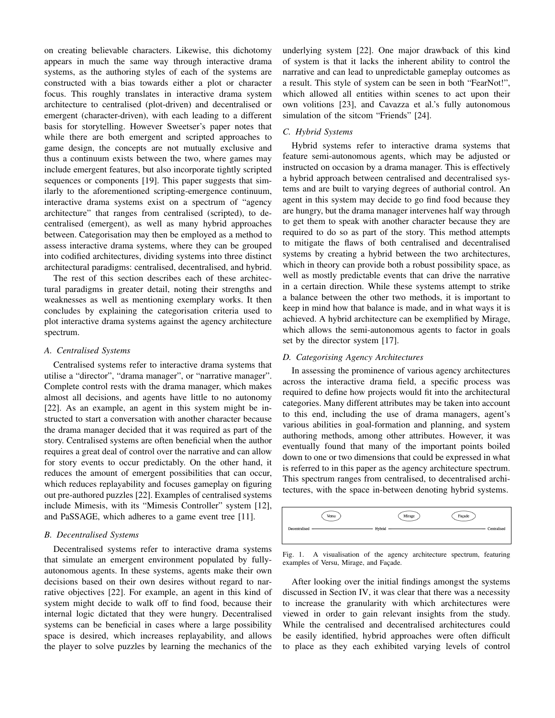on creating believable characters. Likewise, this dichotomy appears in much the same way through interactive drama systems, as the authoring styles of each of the systems are constructed with a bias towards either a plot or character focus. This roughly translates in interactive drama system architecture to centralised (plot-driven) and decentralised or emergent (character-driven), with each leading to a different basis for storytelling. However Sweetser's paper notes that while there are both emergent and scripted approaches to game design, the concepts are not mutually exclusive and thus a continuum exists between the two, where games may include emergent features, but also incorporate tightly scripted sequences or components [19]. This paper suggests that similarly to the aforementioned scripting-emergence continuum, interactive drama systems exist on a spectrum of "agency architecture" that ranges from centralised (scripted), to decentralised (emergent), as well as many hybrid approaches between. Categorisation may then be employed as a method to assess interactive drama systems, where they can be grouped into codified architectures, dividing systems into three distinct architectural paradigms: centralised, decentralised, and hybrid.

The rest of this section describes each of these architectural paradigms in greater detail, noting their strengths and weaknesses as well as mentioning exemplary works. It then concludes by explaining the categorisation criteria used to plot interactive drama systems against the agency architecture spectrum.

# *A. Centralised Systems*

Centralised systems refer to interactive drama systems that utilise a "director", "drama manager", or "narrative manager". Complete control rests with the drama manager, which makes almost all decisions, and agents have little to no autonomy [22]. As an example, an agent in this system might be instructed to start a conversation with another character because the drama manager decided that it was required as part of the story. Centralised systems are often beneficial when the author requires a great deal of control over the narrative and can allow for story events to occur predictably. On the other hand, it reduces the amount of emergent possibilities that can occur, which reduces replayability and focuses gameplay on figuring out pre-authored puzzles [22]. Examples of centralised systems include Mimesis, with its "Mimesis Controller" system [12], and PaSSAGE, which adheres to a game event tree [11].

#### *B. Decentralised Systems*

Decentralised systems refer to interactive drama systems that simulate an emergent environment populated by fullyautonomous agents. In these systems, agents make their own decisions based on their own desires without regard to narrative objectives [22]. For example, an agent in this kind of system might decide to walk off to find food, because their internal logic dictated that they were hungry. Decentralised systems can be beneficial in cases where a large possibility space is desired, which increases replayability, and allows the player to solve puzzles by learning the mechanics of the

underlying system [22]. One major drawback of this kind of system is that it lacks the inherent ability to control the narrative and can lead to unpredictable gameplay outcomes as a result. This style of system can be seen in both "FearNot!", which allowed all entities within scenes to act upon their own volitions [23], and Cavazza et al.'s fully autonomous simulation of the sitcom "Friends" [24].

# *C. Hybrid Systems*

Hybrid systems refer to interactive drama systems that feature semi-autonomous agents, which may be adjusted or instructed on occasion by a drama manager. This is effectively a hybrid approach between centralised and decentralised systems and are built to varying degrees of authorial control. An agent in this system may decide to go find food because they are hungry, but the drama manager intervenes half way through to get them to speak with another character because they are required to do so as part of the story. This method attempts to mitigate the flaws of both centralised and decentralised systems by creating a hybrid between the two architectures, which in theory can provide both a robust possibility space, as well as mostly predictable events that can drive the narrative in a certain direction. While these systems attempt to strike a balance between the other two methods, it is important to keep in mind how that balance is made, and in what ways it is achieved. A hybrid architecture can be exemplified by Mirage, which allows the semi-autonomous agents to factor in goals set by the director system [17].

## *D. Categorising Agency Architectures*

In assessing the prominence of various agency architectures across the interactive drama field, a specific process was required to define how projects would fit into the architectural categories. Many different attributes may be taken into account to this end, including the use of drama managers, agent's various abilities in goal-formation and planning, and system authoring methods, among other attributes. However, it was eventually found that many of the important points boiled down to one or two dimensions that could be expressed in what is referred to in this paper as the agency architecture spectrum. This spectrum ranges from centralised, to decentralised architectures, with the space in-between denoting hybrid systems.



Fig. 1. A visualisation of the agency architecture spectrum, featuring examples of Versu, Mirage, and Façade.

After looking over the initial findings amongst the systems discussed in Section IV, it was clear that there was a necessity to increase the granularity with which architectures were viewed in order to gain relevant insights from the study. While the centralised and decentralised architectures could be easily identified, hybrid approaches were often difficult to place as they each exhibited varying levels of control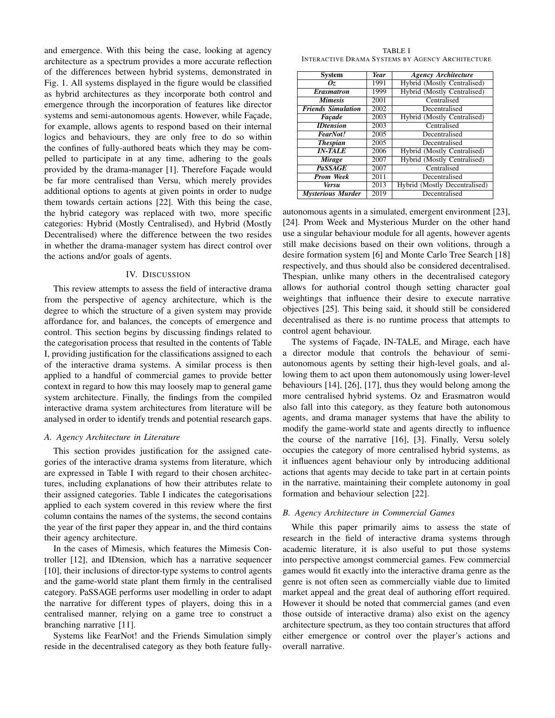and emergence. With this being the case, looking at agency architecture as a spectrum provides a more accurate reflection of the differences between hybrid systems, demonstrated in Fig. 1. All systems displayed in the figure would be classified as hybrid architectures as they incorporate both control and emergence through the incorporation of features like director systems and semi-autonomous agents. However, while Façade, for example, allows agents to respond based on their internal logics and behaviours, they are only free to do so within the confines of fully-authored beats which they may be compelled to participate in at any time, adhering to the goals provided by the drama-manager [1]. Therefore Façade would be far more centralised than Versu, which merely provides additional options to agents at given points in order to nudge them towards certain actions [22]. With this being the case, the hybrid category was replaced with two, more specific categories: Hybrid (Mostly Centralised), and Hybrid (Mostly Decentralised) where the difference between the two resides in whether the drama-manager system has direct control over the actions and/or goals of agents.

## IV. DISCUSSION

This review attempts to assess the field of interactive drama from the perspective of agency architecture, which is the degree to which the structure of a given system may provide affordance for, and balances, the concepts of emergence and control. This section begins by discussing findings related to the categorisation process that resulted in the contents of Table I, providing justification for the classifications assigned to each of the interactive drama systems. A similar process is then applied to a handful of commercial games to provide better context in regard to how this may loosely map to general game system architecture. Finally, the findings from the compiled interactive drama system architectures from literature will be analysed in order to identify trends and potential research gaps.

#### *A. Agency Architecture in Literature*

This section provides justification for the assigned categories of the interactive drama systems from literature, which are expressed in Table I with regard to their chosen architectures, including explanations of how their attributes relate to their assigned categories. Table I indicates the categorisations applied to each system covered in this review where the first column contains the names of the systems, the second contains the year of the first paper they appear in, and the third contains their agency architecture.

In the cases of Mimesis, which features the Mimesis Controller [12], and IDtension, which has a narrative sequencer [10], their inclusions of director-type systems to control agents and the game-world state plant them firmly in the centralised category. PaSSAGE performs user modelling in order to adapt the narrative for different types of players, doing this in a centralised manner, relying on a game tree to construct a branching narrative [11].

Systems like FearNot! and the Friends Simulation simply reside in the decentralised category as they both feature fully-

TABLE I INTERACTIVE DRAMA SYSTEMS BY AGENCY ARCHITECTURE

| System                    | <b>Year</b> | <b>Agency Architecture</b>    |  |
|---------------------------|-------------|-------------------------------|--|
| Oz.                       | 1991        | Hybrid (Mostly Centralised)   |  |
| <b>Erasmatron</b>         | 1999        | Hybrid (Mostly Centralised)   |  |
| <b>Mimesis</b>            | 2001        | Centralised                   |  |
| <b>Friends Simulation</b> | 2002        | Decentralised                 |  |
| Facade                    | 2003        | Hybrid (Mostly Centralised)   |  |
| <b>IDtension</b>          | 2003        | Centralised                   |  |
| FearNot!                  | 2005        | Decentralised                 |  |
| <b>Thespian</b>           | 2005        | Decentralised                 |  |
| $IN-TALE$                 | 2006        | Hybrid (Mostly Centralised)   |  |
| Mirage                    | 2007        | Hybrid (Mostly Centralised)   |  |
| <b>PaSSAGE</b>            | 2007        | Centralised                   |  |
| <b>Prom Week</b>          | 2011        | Decentralised                 |  |
| <b>Versu</b>              | 2013        | Hybrid (Mostly Decentralised) |  |
| <b>Mysterious Murder</b>  | 2019        | Decentralised                 |  |

autonomous agents in a simulated, emergent environment [23], [24]. Prom Week and Mysterious Murder on the other hand use a singular behaviour module for all agents, however agents still make decisions based on their own volitions, through a desire formation system [6] and Monte Carlo Tree Search [18] respectively, and thus should also be considered decentralised. Thespian, unlike many others in the decentralised category allows for authorial control though setting character goal weightings that influence their desire to execute narrative objectives [25]. This being said, it should still be considered decentralised as there is no runtime process that attempts to control agent behaviour.

The systems of Façade, IN-TALE, and Mirage, each have a director module that controls the behaviour of semiautonomous agents by setting their high-level goals, and allowing them to act upon them autonomously using lower-level behaviours [14], [26], [17], thus they would belong among the more centralised hybrid systems. Oz and Erasmatron would also fall into this category, as they feature both autonomous agents, and drama manager systems that have the ability to modify the game-world state and agents directly to influence the course of the narrative [16], [3]. Finally, Versu solely occupies the category of more centralised hybrid systems, as it influences agent behaviour only by introducing additional actions that agents may decide to take part in at certain points in the narrative, maintaining their complete autonomy in goal formation and behaviour selection [22].

# *B. Agency Architecture in Commercial Games*

While this paper primarily aims to assess the state of research in the field of interactive drama systems through academic literature, it is also useful to put those systems into perspective amongst commercial games. Few commercial games would fit exactly into the interactive drama genre as the genre is not often seen as commercially viable due to limited market appeal and the great deal of authoring effort required. However it should be noted that commercial games (and even those outside of interactive drama) also exist on the agency architecture spectrum, as they too contain structures that afford either emergence or control over the player's actions and overall narrative.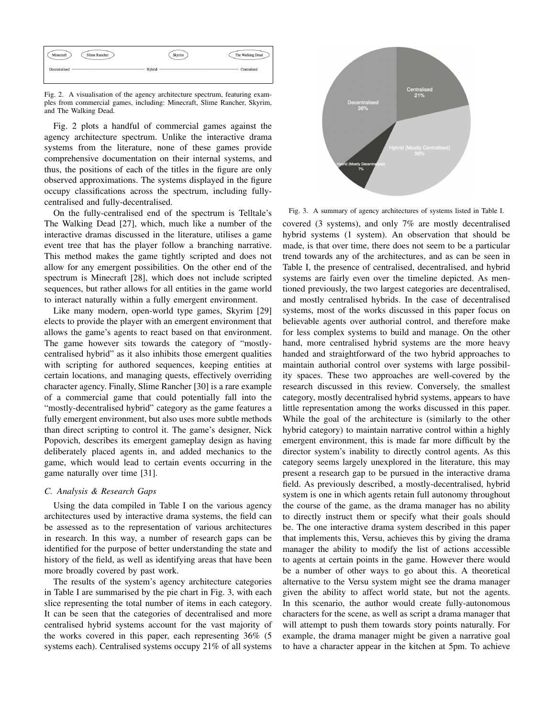| Minecraft     | Slime Rancher | Skyrim | The Walking Dead |
|---------------|---------------|--------|------------------|
| Decentralised |               | Hybrid | Centralised      |

Fig. 2. A visualisation of the agency architecture spectrum, featuring examples from commercial games, including: Minecraft, Slime Rancher, Skyrim, and The Walking Dead.

Fig. 2 plots a handful of commercial games against the agency architecture spectrum. Unlike the interactive drama systems from the literature, none of these games provide comprehensive documentation on their internal systems, and thus, the positions of each of the titles in the figure are only observed approximations. The systems displayed in the figure occupy classifications across the spectrum, including fullycentralised and fully-decentralised.

On the fully-centralised end of the spectrum is Telltale's The Walking Dead [27], which, much like a number of the interactive dramas discussed in the literature, utilises a game event tree that has the player follow a branching narrative. This method makes the game tightly scripted and does not allow for any emergent possibilities. On the other end of the spectrum is Minecraft [28], which does not include scripted sequences, but rather allows for all entities in the game world to interact naturally within a fully emergent environment.

Like many modern, open-world type games, Skyrim [29] elects to provide the player with an emergent environment that allows the game's agents to react based on that environment. The game however sits towards the category of "mostlycentralised hybrid" as it also inhibits those emergent qualities with scripting for authored sequences, keeping entities at certain locations, and managing quests, effectively overriding character agency. Finally, Slime Rancher [30] is a rare example of a commercial game that could potentially fall into the "mostly-decentralised hybrid" category as the game features a fully emergent environment, but also uses more subtle methods than direct scripting to control it. The game's designer, Nick Popovich, describes its emergent gameplay design as having deliberately placed agents in, and added mechanics to the game, which would lead to certain events occurring in the game naturally over time [31].

# *C. Analysis & Research Gaps*

Using the data compiled in Table I on the various agency architectures used by interactive drama systems, the field can be assessed as to the representation of various architectures in research. In this way, a number of research gaps can be identified for the purpose of better understanding the state and history of the field, as well as identifying areas that have been more broadly covered by past work.

The results of the system's agency architecture categories in Table I are summarised by the pie chart in Fig. 3, with each slice representing the total number of items in each category. It can be seen that the categories of decentralised and more centralised hybrid systems account for the vast majority of the works covered in this paper, each representing 36% (5 systems each). Centralised systems occupy 21% of all systems



Fig. 3. A summary of agency architectures of systems listed in Table I.

covered (3 systems), and only 7% are mostly decentralised hybrid systems (1 system). An observation that should be made, is that over time, there does not seem to be a particular trend towards any of the architectures, and as can be seen in Table I, the presence of centralised, decentralised, and hybrid systems are fairly even over the timeline depicted. As mentioned previously, the two largest categories are decentralised, and mostly centralised hybrids. In the case of decentralised systems, most of the works discussed in this paper focus on believable agents over authorial control, and therefore make for less complex systems to build and manage. On the other hand, more centralised hybrid systems are the more heavy handed and straightforward of the two hybrid approaches to maintain authorial control over systems with large possibility spaces. These two approaches are well-covered by the research discussed in this review. Conversely, the smallest category, mostly decentralised hybrid systems, appears to have little representation among the works discussed in this paper. While the goal of the architecture is (similarly to the other hybrid category) to maintain narrative control within a highly emergent environment, this is made far more difficult by the director system's inability to directly control agents. As this category seems largely unexplored in the literature, this may present a research gap to be pursued in the interactive drama field. As previously described, a mostly-decentralised, hybrid system is one in which agents retain full autonomy throughout the course of the game, as the drama manager has no ability to directly instruct them or specify what their goals should be. The one interactive drama system described in this paper that implements this, Versu, achieves this by giving the drama manager the ability to modify the list of actions accessible to agents at certain points in the game. However there would be a number of other ways to go about this. A theoretical alternative to the Versu system might see the drama manager given the ability to affect world state, but not the agents. In this scenario, the author would create fully-autonomous characters for the scene, as well as script a drama manager that will attempt to push them towards story points naturally. For example, the drama manager might be given a narrative goal to have a character appear in the kitchen at 5pm. To achieve